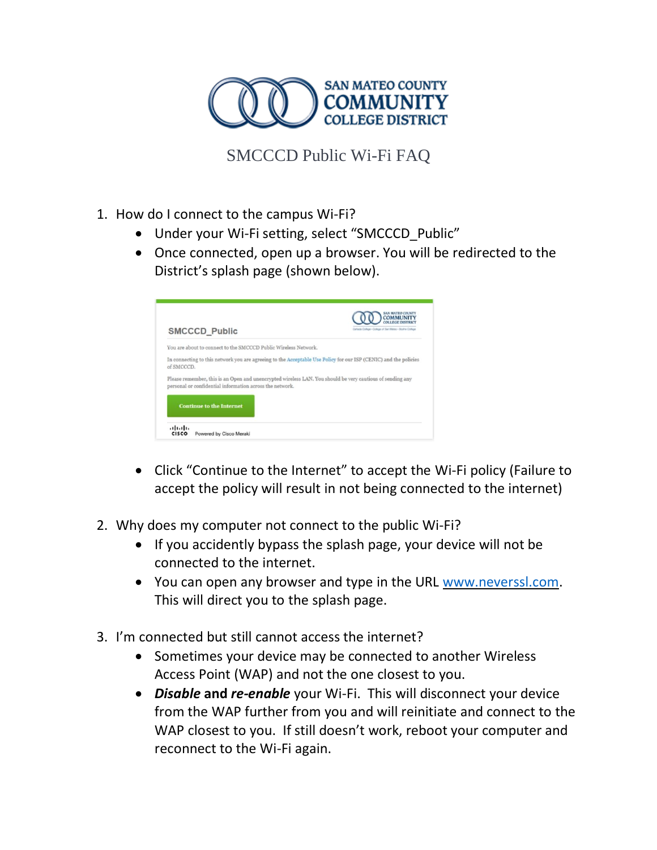

SMCCCD Public Wi-Fi FAQ

- 1. How do I connect to the campus Wi-Fi?
	- Under your Wi-Fi setting, select "SMCCCD\_Public"
	- Once connected, open up a browser. You will be redirected to the District's splash page (shown below).

| <b>SMCCCD Public</b> |                                                                 | Carlista College - College of San Mateo - Skyline College                                                        |
|----------------------|-----------------------------------------------------------------|------------------------------------------------------------------------------------------------------------------|
|                      | You are about to connect to the SMCCCD Public Wireless Network. |                                                                                                                  |
| of SMCCCD.           |                                                                 | In connecting to this network you are agreeing to the Acceptable Use Policy for our ISP (CENIC) and the policies |
|                      | personal or confidential information across the network.        | Please remember, this is an Open and unencrypted wireless LAN. You should be very cautious of sending any        |
|                      |                                                                 |                                                                                                                  |

- Click "Continue to the Internet" to accept the Wi-Fi policy (Failure to accept the policy will result in not being connected to the internet)
- 2. Why does my computer not connect to the public Wi-Fi?
	- If you accidently bypass the splash page, your device will not be connected to the internet.
	- You can open any browser and type in the URL [www.neverssl.com.](http://www.neverssl.com/) This will direct you to the splash page.
- 3. I'm connected but still cannot access the internet?
	- Sometimes your device may be connected to another Wireless Access Point (WAP) and not the one closest to you.
	- *Disable* **and** *re-enable* your Wi-Fi. This will disconnect your device from the WAP further from you and will reinitiate and connect to the WAP closest to you. If still doesn't work, reboot your computer and reconnect to the Wi-Fi again.